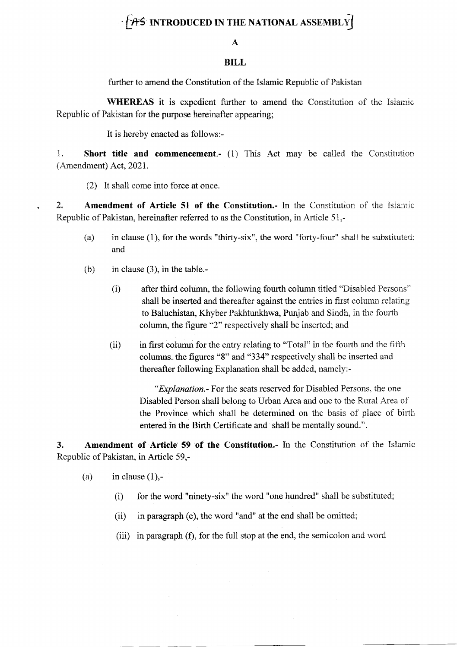## $\cdot$   $\uparrow$   $\rightarrow$  INTRODUCED IN THE NATIONAL ASSEMBLY

## A

## BILL

further to amend the Constitution of the Islamic Republic of Pakistan

WHEREAS it is expedient further to amend the Constitution of the Islamic Republic of Pakistan for the purpose hereinafter appearing;

It is hereby enacted as follows:-

1. Short title and commencement.- (1) This Act may be called the Constitution  $(Amendment)$  Act, 2021.

(2) It shall come into force at once.

2. Amendment of Article 51 of the Constitution.- In the Constitution of the Islamic Republic of Pakistan, hereinafter referred to as the Constitution, in Article 51,-

- (a) in clause (1), for the words "thirty-six", the word "forty-four" shall be substituted; and
- (b) in clause (3), in the table.-
	- (i) after third column, the following fourth column titled "Disabied Fersons" shall be inserted and thereafter against the entries in first column relating to Baluchistan, Khyber Pakhtunkhwa, Punjab and Sindh, in the fourth column, the figure "2" respectively shall be inserted; and
	- (ii) in first column for the entry relating to "Total" in the fourth and the fifth columns. the figures "8" and "334" respectively shali be inserted and thereafter following Explanation shall be added, namely:-

"Explanation.- For the seats reserved for Disabled Persons. the one Disabled Person shall belong to Urban Area and one to the Rural Area cf the Province which shall be determined on the basis of place of birth entered in the Birth Certificate and shall be mentally sound.".

3. Amcndment of Article 59 of the Constitution.- In the Constitution of the Islarnic Republic of Pakistan, in Article 59,-

- (a) in clause  $(1)$ ,-
	- (i) for the word "ninety-six" the word "one hundred" shall be substituted;
	- $(ii)$  in paragraph (e), the word "and" at the end shall be omitted;
	- (iii) in paragraph  $(f)$ , for the full stop at the end, the semicolon and word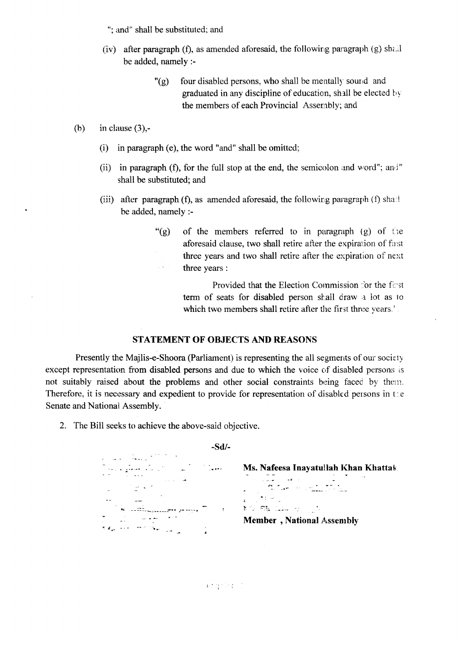"; and" shall be substituted; and

- $(iv)$  after paragraph (f), as amended aforesaid, the following paragraph (g) shall be added, namely :-
	- $\degree$ (g) four disabled persons, who shall be mentally sound and graduated in any discipline of education, shall be elected by the members of each Provincial Assernbly; and

(b) in clause  $(3)$ ,-

- (i) in paragraph (e), the word "and" shall be omitted;
- (ii) in paragraph (f), for the full stop at the end, the semicolon and word"; and " shall be substituted; and
- (iii) after paragraph (f), as amended aforesaid, the following paragraph (f) shall be added, namely :-
	- "(g) of the members referred to in paragraph (g) of the aforesaid clause, two shall retire after the expiration of fast three years and two shall retire after the expiration of next  $\hat{\rho}$  and  $\hat{\sigma}$ three years :

Provided that the Election Commission for the first term of seats for disabled person shall draw a lot as to which two members shall retire after the first three years.'.

## STATEMENT OF OBJECTS AND REASONS

Presently the Majlis-e-Shoora (Parliament) is representing the all segments of our society except representation from disabled persons and due to which the voice of disabled persons is not suitably raised about the problems and other social constraints being faced by them. Therefore, it is necessary and expedient to provide for representation of disabled persons in the Senate and National Assembly.

2. The Bill seeks to achieve the above-said objective

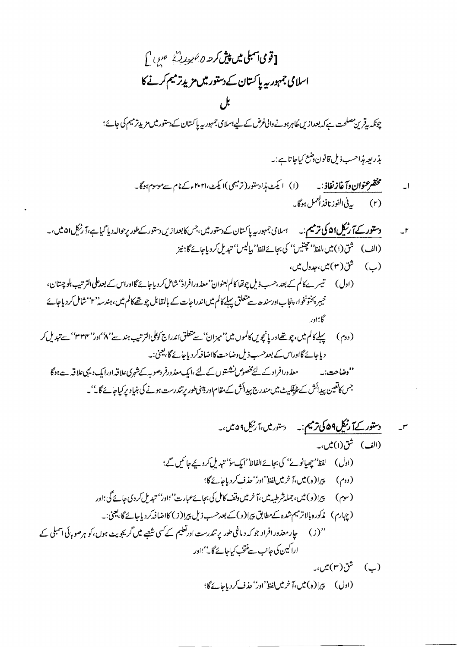$$
\int_{\mathbb{R}} \int_{\mathbb{R}} \mathcal{L}_{\mathcal{L}} \propto \mathcal{L}_{\mathcal{L}} \mathcal{L}_{\mathcal{L}} \mathcal{L}_{\mathcal{L}} \mathcal{L}_{\mathcal{L}} \mathcal{L}_{\mathcal{L}} \mathcal{L}_{\mathcal{L}} \mathcal{L}_{\mathcal{L}} \mathcal{L}_{\mathcal{L}} \mathcal{L}_{\mathcal{L}} \mathcal{L}_{\mathcal{L}} \mathcal{L}_{\mathcal{L}} \mathcal{L}_{\mathcal{L}} \mathcal{L}_{\mathcal{L}} \mathcal{L}_{\mathcal{L}} \mathcal{L}_{\mathcal{L}} \mathcal{L}_{\mathcal{L}} \mathcal{L}_{\mathcal{L}} \mathcal{L}_{\mathcal{L}} \mathcal{L}_{\mathcal{L}} \mathcal{L}_{\mathcal{L}} \mathcal{L}_{\mathcal{L}} \mathcal{L}_{\mathcal{L}} \mathcal{L}_{\mathcal{L}} \mathcal{L}_{\mathcal{L}} \mathcal{L}_{\mathcal{L}} \mathcal{L}_{\mathcal{L}} \mathcal{L}_{\mathcal{L}} \mathcal{L}_{\mathcal{L}} \mathcal{L}_{\mathcal{L}} \mathcal{L}_{\mathcal{L}} \mathcal{L}_{\mathcal{L}} \mathcal{L}_{\mathcal{L}} \mathcal{L}_{\mathcal{L}} \mathcal{L}_{\mathcal{L}} \mathcal{L}_{\mathcal{L}} \mathcal{L}_{\mathcal{L}} \mathcal{L}_{\mathcal{L}} \mathcal{L}_{\mathcal{L}} \mathcal{L}_{\mathcal{L}} \mathcal{L}_{\mathcal{L}} \mathcal{L}_{\mathcal{L}} \mathcal{L}_{\mathcal{L}} \mathcal{L}_{\mathcal{L}} \mathcal{L}_{\mathcal{L}} \mathcal{L}_{\mathcal{L}} \mathcal{L}_{\mathcal{L}} \mathcal{L}_{\mathcal{L}} \mathcal{L}_{\mathcal{L}} \mathcal{L}_{\mathcal{L}} \mathcal{L}_{\mathcal{L}} \mathcal{L}_{\mathcal{L}} \mathcal{L}_{\mathcal{L}} \mathcal{L}_{\mathcal{L}} \mathcal{L}_{\mathcal{L}} \mathcal{L}_{\mathcal{L}} \mathcal{L}_{\mathcal{L}} \mathcal{L}_{\mathcal{L}} \mathcal{L}_{\mathcal{L}} \mathcal{L}_{\mathcal{L}} \mathcal{L}_{\mathcal{L}} \mathcal{L}_{
$$

بذريعه مذا<sup>حس</sup>ب ذيل قانون *وضع* كياجا تا ہے : په

- مختصر عنوا**ن دآ غازنفاذ** : په سه (ا) ایکٹ مذادستور(ترمیمی )ا یکٹ،۲۰۲۱ء کے نام سے موسوم ہوگا۔  $\cup$ (۲) \_\_\_ بدفي الفوز نافذ العمل ہوگا۔\_
- (ب) شق(۳) میں،جدول میں،
- (اول ) ستیسر بےکالم کے بعد،حسب ذیل چوتھا کالم بعنوان' معذورافراد' شامل کر دیاجائے گااوراس کے بعدعلی الترتیب بلوچتان، خیبر پختونخوا، پنجاباورسندھ سے متعلق پہلے کالم میں اندراجات کے بالمقابل چوتھے کالم میں، ہندسہ'' ''شامل کردیاجائے گا؛اور
- ( دوم ) سپېليكالم ميں، چو تھےاور يانچويں كالموں ميں''ميزان'' ہے تتعلق اندراج كوكلى الترتيب ہند سے'' ٨''اور'' ٢٣٣'' سے تبديل كر دیاجائے گااوراس کے بعد حسب ذیل دضاحت کااضافہ کر دیاجائے گا، یعنی:۔

جس کاتعین پیدائش کے پٹیفکیٹ میں مندرج پیدائش کے مقام اور ڈینی طور پرتندرست ہونے کی بنیاد پر کیاجائے گا۔''۔

(ادل) پیرا(ه) میں،آ خرمیںلفظ''ادر'' حذف کردیاجائے گا؛